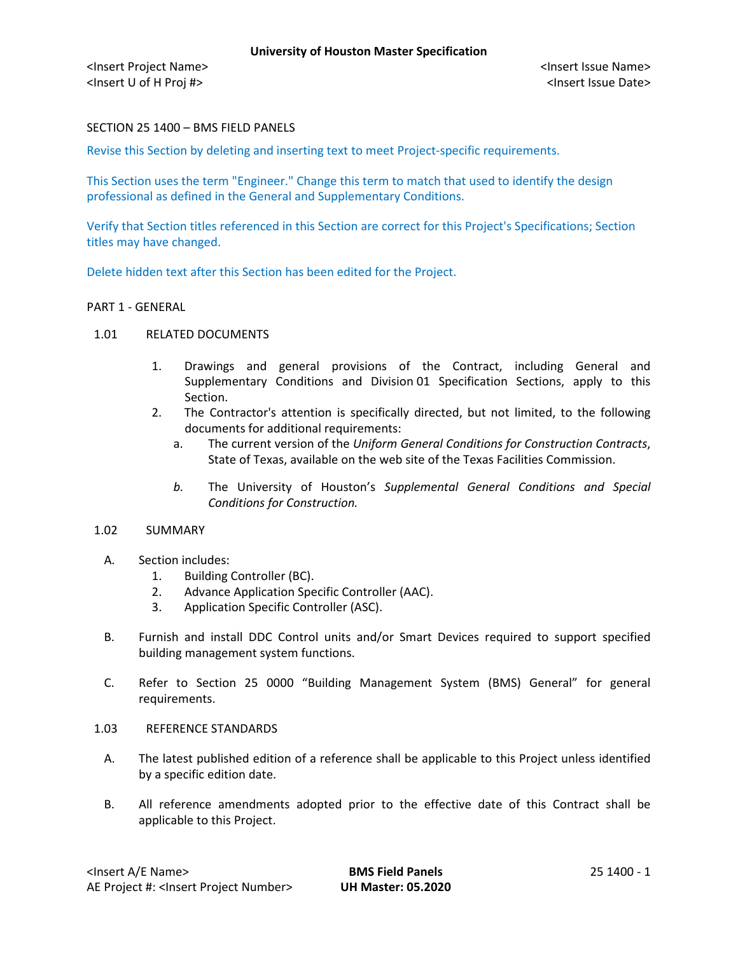## SECTION 25 1400 – BMS FIELD PANELS

Revise this Section by deleting and inserting text to meet Project-specific requirements.

This Section uses the term "Engineer." Change this term to match that used to identify the design professional as defined in the General and Supplementary Conditions.

Verify that Section titles referenced in this Section are correct for this Project's Specifications; Section titles may have changed.

Delete hidden text after this Section has been edited for the Project.

#### PART 1 - GENERAL

- 1.01 RELATED DOCUMENTS
	- 1. Drawings and general provisions of the Contract, including General and Supplementary Conditions and Division 01 Specification Sections, apply to this Section.
	- 2. The Contractor's attention is specifically directed, but not limited, to the following documents for additional requirements:
		- a. The current version of the *Uniform General Conditions for Construction Contracts*, State of Texas, available on the web site of the Texas Facilities Commission.
		- *b.* The University of Houston's *Supplemental General Conditions and Special Conditions for Construction.*

#### 1.02 SUMMARY

- A. Section includes:
	- 1. Building Controller (BC).
	- 2. Advance Application Specific Controller (AAC).
	- 3. Application Specific Controller (ASC).
- B. Furnish and install DDC Control units and/or Smart Devices required to support specified building management system functions.
- C. Refer to Section 25 0000 "Building Management System (BMS) General" for general requirements.
- 1.03 REFERENCE STANDARDS
	- A. The latest published edition of a reference shall be applicable to this Project unless identified by a specific edition date.
	- B. All reference amendments adopted prior to the effective date of this Contract shall be applicable to this Project.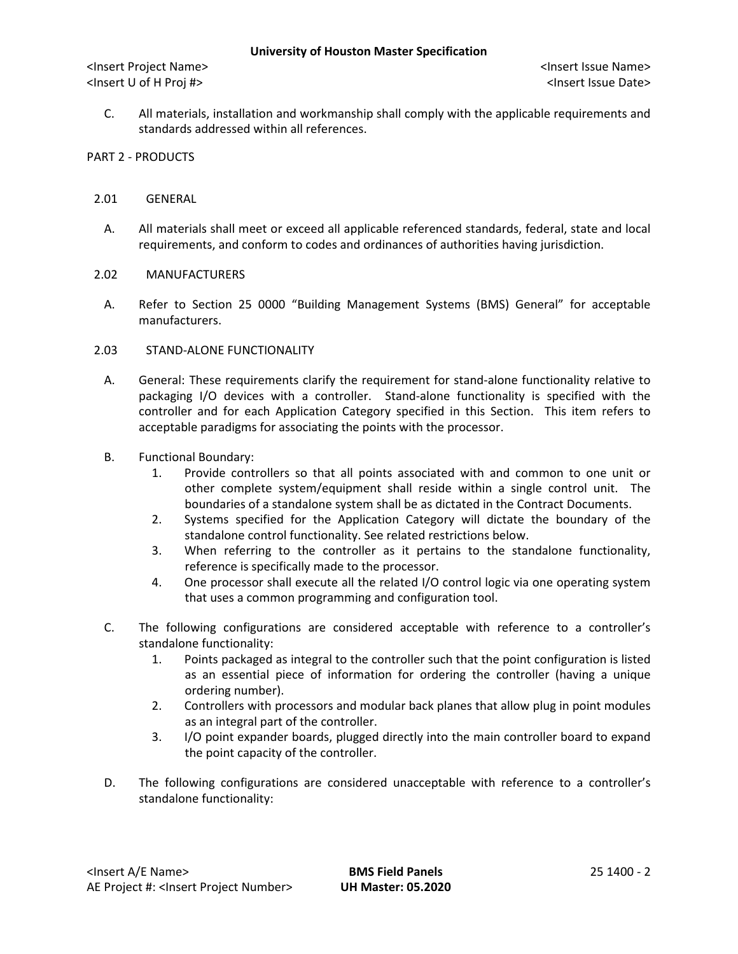C. All materials, installation and workmanship shall comply with the applicable requirements and standards addressed within all references.

## PART 2 - PRODUCTS

## 2.01 GENERAL

- A. All materials shall meet or exceed all applicable referenced standards, federal, state and local requirements, and conform to codes and ordinances of authorities having jurisdiction.
- 2.02 MANUFACTURERS
	- A. Refer to Section 25 0000 "Building Management Systems (BMS) General" for acceptable manufacturers.
- 2.03 STAND-ALONE FUNCTIONALITY
	- A. General: These requirements clarify the requirement for stand-alone functionality relative to packaging I/O devices with a controller. Stand-alone functionality is specified with the controller and for each Application Category specified in this Section. This item refers to acceptable paradigms for associating the points with the processor.
	- B. Functional Boundary:
		- 1. Provide controllers so that all points associated with and common to one unit or other complete system/equipment shall reside within a single control unit. The boundaries of a standalone system shall be as dictated in the Contract Documents.
		- 2. Systems specified for the Application Category will dictate the boundary of the standalone control functionality. See related restrictions below.
		- 3. When referring to the controller as it pertains to the standalone functionality, reference is specifically made to the processor.
		- 4. One processor shall execute all the related I/O control logic via one operating system that uses a common programming and configuration tool.
	- C. The following configurations are considered acceptable with reference to a controller's standalone functionality:
		- 1. Points packaged as integral to the controller such that the point configuration is listed as an essential piece of information for ordering the controller (having a unique ordering number).
		- 2. Controllers with processors and modular back planes that allow plug in point modules as an integral part of the controller.
		- 3. I/O point expander boards, plugged directly into the main controller board to expand the point capacity of the controller.
	- D. The following configurations are considered unacceptable with reference to a controller's standalone functionality: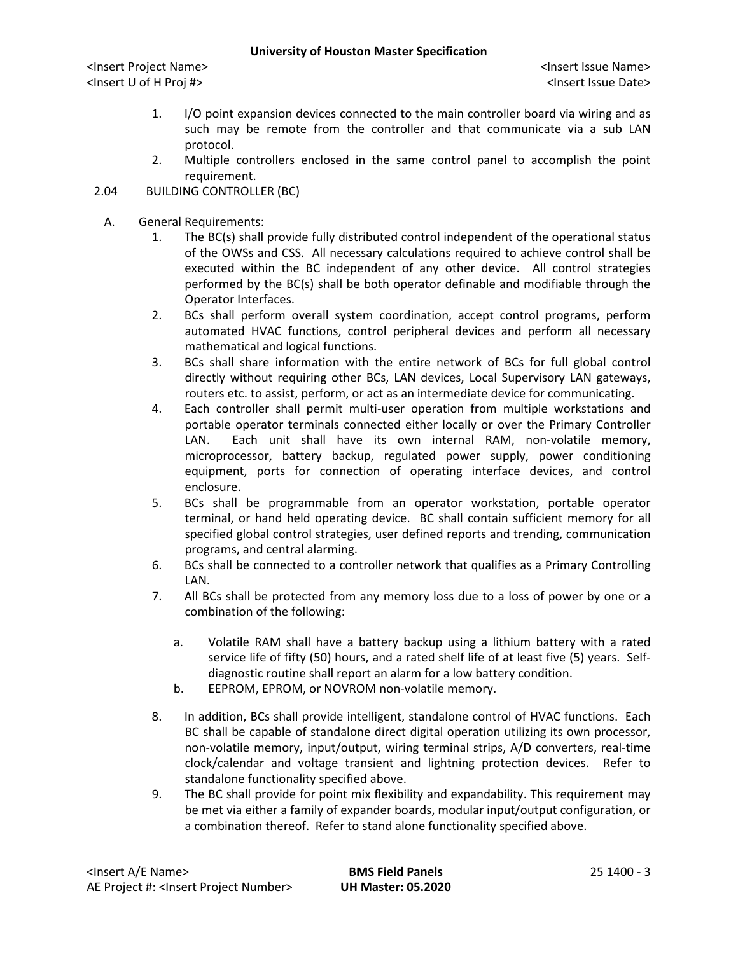- 1. I/O point expansion devices connected to the main controller board via wiring and as such may be remote from the controller and that communicate via a sub LAN protocol.
- 2. Multiple controllers enclosed in the same control panel to accomplish the point requirement.
- 2.04 BUILDING CONTROLLER (BC)
	- A. General Requirements:
		- 1. The BC(s) shall provide fully distributed control independent of the operational status of the OWSs and CSS. All necessary calculations required to achieve control shall be executed within the BC independent of any other device. All control strategies performed by the BC(s) shall be both operator definable and modifiable through the Operator Interfaces.
		- 2. BCs shall perform overall system coordination, accept control programs, perform automated HVAC functions, control peripheral devices and perform all necessary mathematical and logical functions.
		- 3. BCs shall share information with the entire network of BCs for full global control directly without requiring other BCs, LAN devices, Local Supervisory LAN gateways, routers etc. to assist, perform, or act as an intermediate device for communicating.
		- 4. Each controller shall permit multi-user operation from multiple workstations and portable operator terminals connected either locally or over the Primary Controller LAN. Each unit shall have its own internal RAM, non-volatile memory, microprocessor, battery backup, regulated power supply, power conditioning equipment, ports for connection of operating interface devices, and control enclosure.
		- 5. BCs shall be programmable from an operator workstation, portable operator terminal, or hand held operating device. BC shall contain sufficient memory for all specified global control strategies, user defined reports and trending, communication programs, and central alarming.
		- 6. BCs shall be connected to a controller network that qualifies as a Primary Controlling LAN.
		- 7. All BCs shall be protected from any memory loss due to a loss of power by one or a combination of the following:
			- a. Volatile RAM shall have a battery backup using a lithium battery with a rated service life of fifty (50) hours, and a rated shelf life of at least five (5) years. Selfdiagnostic routine shall report an alarm for a low battery condition.
			- b. EEPROM, EPROM, or NOVROM non-volatile memory.
		- 8. In addition, BCs shall provide intelligent, standalone control of HVAC functions. Each BC shall be capable of standalone direct digital operation utilizing its own processor, non-volatile memory, input/output, wiring terminal strips, A/D converters, real-time clock/calendar and voltage transient and lightning protection devices. Refer to standalone functionality specified above.
		- 9. The BC shall provide for point mix flexibility and expandability. This requirement may be met via either a family of expander boards, modular input/output configuration, or a combination thereof. Refer to stand alone functionality specified above.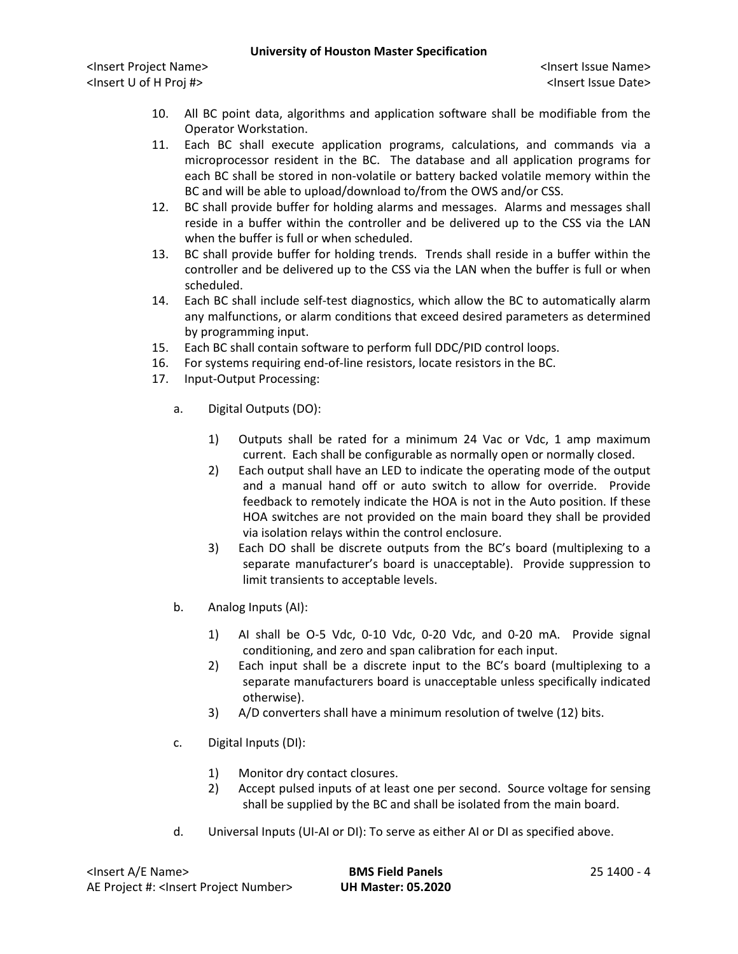- 10. All BC point data, algorithms and application software shall be modifiable from the Operator Workstation.
- 11. Each BC shall execute application programs, calculations, and commands via a microprocessor resident in the BC. The database and all application programs for each BC shall be stored in non-volatile or battery backed volatile memory within the BC and will be able to upload/download to/from the OWS and/or CSS.
- 12. BC shall provide buffer for holding alarms and messages. Alarms and messages shall reside in a buffer within the controller and be delivered up to the CSS via the LAN when the buffer is full or when scheduled.
- 13. BC shall provide buffer for holding trends. Trends shall reside in a buffer within the controller and be delivered up to the CSS via the LAN when the buffer is full or when scheduled.
- 14. Each BC shall include self-test diagnostics, which allow the BC to automatically alarm any malfunctions, or alarm conditions that exceed desired parameters as determined by programming input.
- 15. Each BC shall contain software to perform full DDC/PID control loops.
- 16. For systems requiring end-of-line resistors, locate resistors in the BC.
- 17. Input-Output Processing:
	- a. Digital Outputs (DO):
		- 1) Outputs shall be rated for a minimum 24 Vac or Vdc, 1 amp maximum current. Each shall be configurable as normally open or normally closed.
		- 2) Each output shall have an LED to indicate the operating mode of the output and a manual hand off or auto switch to allow for override. Provide feedback to remotely indicate the HOA is not in the Auto position. If these HOA switches are not provided on the main board they shall be provided via isolation relays within the control enclosure.
		- 3) Each DO shall be discrete outputs from the BC's board (multiplexing to a separate manufacturer's board is unacceptable). Provide suppression to limit transients to acceptable levels.
	- b. Analog Inputs (AI):
		- 1) AI shall be O-5 Vdc, 0-10 Vdc, 0-20 Vdc, and 0-20 mA. Provide signal conditioning, and zero and span calibration for each input.
		- 2) Each input shall be a discrete input to the BC's board (multiplexing to a separate manufacturers board is unacceptable unless specifically indicated otherwise).
		- 3) A/D converters shall have a minimum resolution of twelve (12) bits.
	- c. Digital Inputs (DI):
		- 1) Monitor dry contact closures.
		- 2) Accept pulsed inputs of at least one per second. Source voltage for sensing shall be supplied by the BC and shall be isolated from the main board.
	- d. Universal Inputs (UI-AI or DI): To serve as either AI or DI as specified above.

| <lnsert a="" e="" name=""></lnsert>                  | <b>BMS Field Panels</b>   | 25 1400 - 4 |
|------------------------------------------------------|---------------------------|-------------|
| AE Project #: <lnsert number="" project=""></lnsert> | <b>UH Master: 05.2020</b> |             |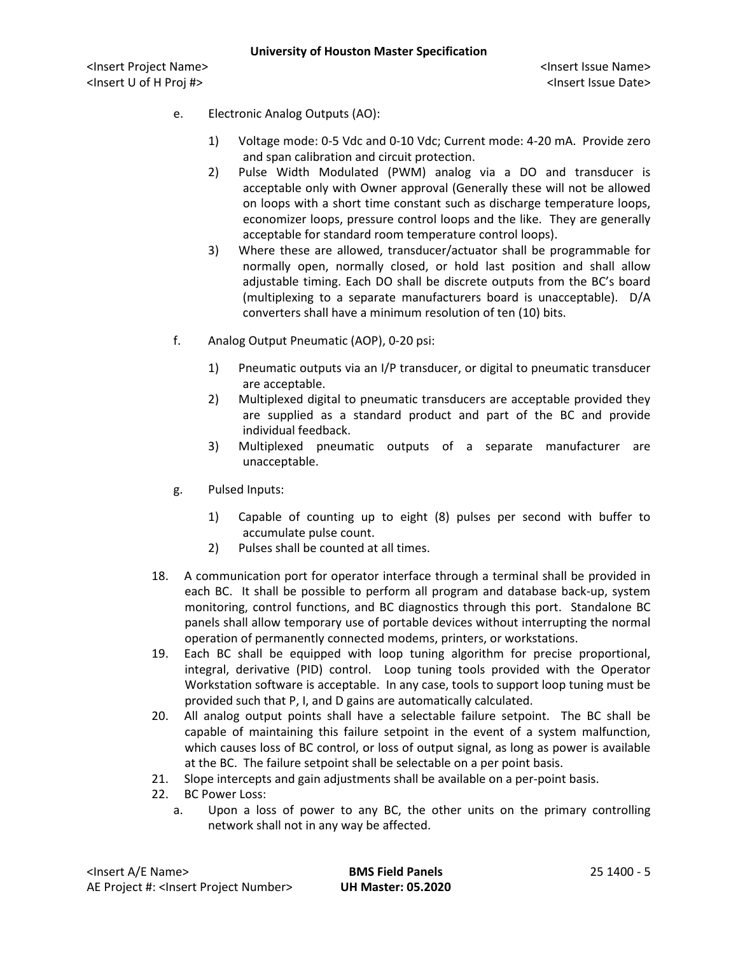- e. Electronic Analog Outputs (AO):
	- 1) Voltage mode: 0-5 Vdc and 0-10 Vdc; Current mode: 4-20 mA. Provide zero and span calibration and circuit protection.
	- 2) Pulse Width Modulated (PWM) analog via a DO and transducer is acceptable only with Owner approval (Generally these will not be allowed on loops with a short time constant such as discharge temperature loops, economizer loops, pressure control loops and the like. They are generally acceptable for standard room temperature control loops).
	- 3) Where these are allowed, transducer/actuator shall be programmable for normally open, normally closed, or hold last position and shall allow adjustable timing. Each DO shall be discrete outputs from the BC's board (multiplexing to a separate manufacturers board is unacceptable). D/A converters shall have a minimum resolution of ten (10) bits.
- f. Analog Output Pneumatic (AOP), 0-20 psi:
	- 1) Pneumatic outputs via an I/P transducer, or digital to pneumatic transducer are acceptable.
	- 2) Multiplexed digital to pneumatic transducers are acceptable provided they are supplied as a standard product and part of the BC and provide individual feedback.
	- 3) Multiplexed pneumatic outputs of a separate manufacturer are unacceptable.
- g. Pulsed Inputs:
	- 1) Capable of counting up to eight (8) pulses per second with buffer to accumulate pulse count.
	- 2) Pulses shall be counted at all times.
- 18. A communication port for operator interface through a terminal shall be provided in each BC. It shall be possible to perform all program and database back-up, system monitoring, control functions, and BC diagnostics through this port. Standalone BC panels shall allow temporary use of portable devices without interrupting the normal operation of permanently connected modems, printers, or workstations.
- 19. Each BC shall be equipped with loop tuning algorithm for precise proportional, integral, derivative (PID) control. Loop tuning tools provided with the Operator Workstation software is acceptable. In any case, tools to support loop tuning must be provided such that P, I, and D gains are automatically calculated.
- 20. All analog output points shall have a selectable failure setpoint. The BC shall be capable of maintaining this failure setpoint in the event of a system malfunction, which causes loss of BC control, or loss of output signal, as long as power is available at the BC. The failure setpoint shall be selectable on a per point basis.
- 21. Slope intercepts and gain adjustments shall be available on a per-point basis.
- 22. BC Power Loss:
	- a. Upon a loss of power to any BC, the other units on the primary controlling network shall not in any way be affected.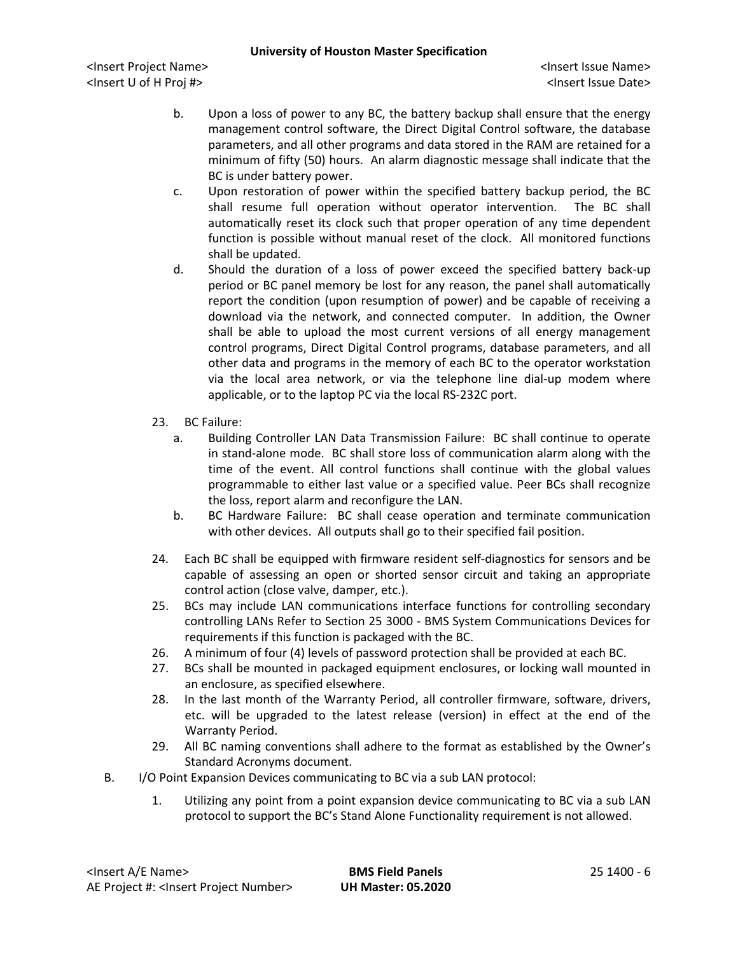- b. Upon a loss of power to any BC, the battery backup shall ensure that the energy management control software, the Direct Digital Control software, the database parameters, and all other programs and data stored in the RAM are retained for a minimum of fifty (50) hours. An alarm diagnostic message shall indicate that the BC is under battery power.
- c. Upon restoration of power within the specified battery backup period, the BC shall resume full operation without operator intervention. The BC shall automatically reset its clock such that proper operation of any time dependent function is possible without manual reset of the clock. All monitored functions shall be updated.
- d. Should the duration of a loss of power exceed the specified battery back-up period or BC panel memory be lost for any reason, the panel shall automatically report the condition (upon resumption of power) and be capable of receiving a download via the network, and connected computer. In addition, the Owner shall be able to upload the most current versions of all energy management control programs, Direct Digital Control programs, database parameters, and all other data and programs in the memory of each BC to the operator workstation via the local area network, or via the telephone line dial-up modem where applicable, or to the laptop PC via the local RS-232C port.
- 23. BC Failure:
	- a. Building Controller LAN Data Transmission Failure: BC shall continue to operate in stand-alone mode. BC shall store loss of communication alarm along with the time of the event. All control functions shall continue with the global values programmable to either last value or a specified value. Peer BCs shall recognize the loss, report alarm and reconfigure the LAN.
	- b. BC Hardware Failure: BC shall cease operation and terminate communication with other devices. All outputs shall go to their specified fail position.
- 24. Each BC shall be equipped with firmware resident self-diagnostics for sensors and be capable of assessing an open or shorted sensor circuit and taking an appropriate control action (close valve, damper, etc.).
- 25. BCs may include LAN communications interface functions for controlling secondary controlling LANs Refer to Section 25 3000 - BMS System Communications Devices for requirements if this function is packaged with the BC.
- 26. A minimum of four (4) levels of password protection shall be provided at each BC.
- 27. BCs shall be mounted in packaged equipment enclosures, or locking wall mounted in an enclosure, as specified elsewhere.
- 28. In the last month of the Warranty Period, all controller firmware, software, drivers, etc. will be upgraded to the latest release (version) in effect at the end of the Warranty Period.
- 29. All BC naming conventions shall adhere to the format as established by the Owner's Standard Acronyms document.
- B. I/O Point Expansion Devices communicating to BC via a sub LAN protocol:
	- 1. Utilizing any point from a point expansion device communicating to BC via a sub LAN protocol to support the BC's Stand Alone Functionality requirement is not allowed.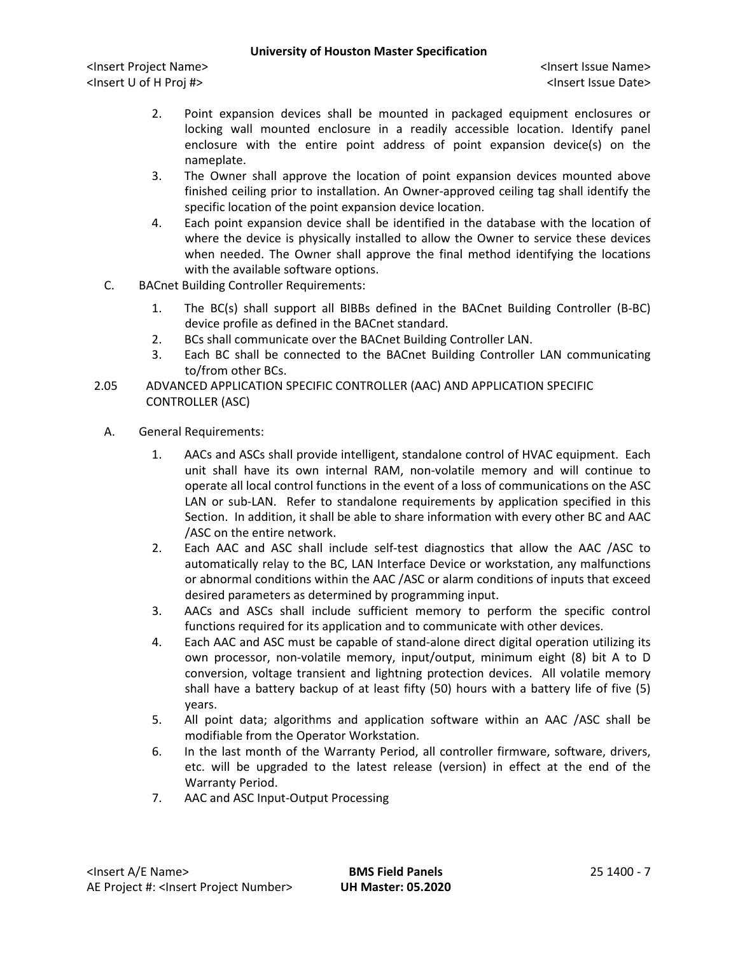- 2. Point expansion devices shall be mounted in packaged equipment enclosures or locking wall mounted enclosure in a readily accessible location. Identify panel enclosure with the entire point address of point expansion device(s) on the nameplate.
- 3. The Owner shall approve the location of point expansion devices mounted above finished ceiling prior to installation. An Owner-approved ceiling tag shall identify the specific location of the point expansion device location.
- 4. Each point expansion device shall be identified in the database with the location of where the device is physically installed to allow the Owner to service these devices when needed. The Owner shall approve the final method identifying the locations with the available software options.
- C. BACnet Building Controller Requirements:
	- 1. The BC(s) shall support all BIBBs defined in the BACnet Building Controller (B-BC) device profile as defined in the BACnet standard.
	- 2. BCs shall communicate over the BACnet Building Controller LAN.
	- 3. Each BC shall be connected to the BACnet Building Controller LAN communicating to/from other BCs.
- 2.05 ADVANCED APPLICATION SPECIFIC CONTROLLER (AAC) AND APPLICATION SPECIFIC CONTROLLER (ASC)
	- A. General Requirements:
		- 1. AACs and ASCs shall provide intelligent, standalone control of HVAC equipment. Each unit shall have its own internal RAM, non-volatile memory and will continue to operate all local control functions in the event of a loss of communications on the ASC LAN or sub-LAN. Refer to standalone requirements by application specified in this Section. In addition, it shall be able to share information with every other BC and AAC /ASC on the entire network.
		- 2. Each AAC and ASC shall include self-test diagnostics that allow the AAC /ASC to automatically relay to the BC, LAN Interface Device or workstation, any malfunctions or abnormal conditions within the AAC /ASC or alarm conditions of inputs that exceed desired parameters as determined by programming input.
		- 3. AACs and ASCs shall include sufficient memory to perform the specific control functions required for its application and to communicate with other devices.
		- 4. Each AAC and ASC must be capable of stand-alone direct digital operation utilizing its own processor, non-volatile memory, input/output, minimum eight (8) bit A to D conversion, voltage transient and lightning protection devices. All volatile memory shall have a battery backup of at least fifty (50) hours with a battery life of five (5) years.
		- 5. All point data; algorithms and application software within an AAC /ASC shall be modifiable from the Operator Workstation.
		- 6. In the last month of the Warranty Period, all controller firmware, software, drivers, etc. will be upgraded to the latest release (version) in effect at the end of the Warranty Period.
		- 7. AAC and ASC Input-Output Processing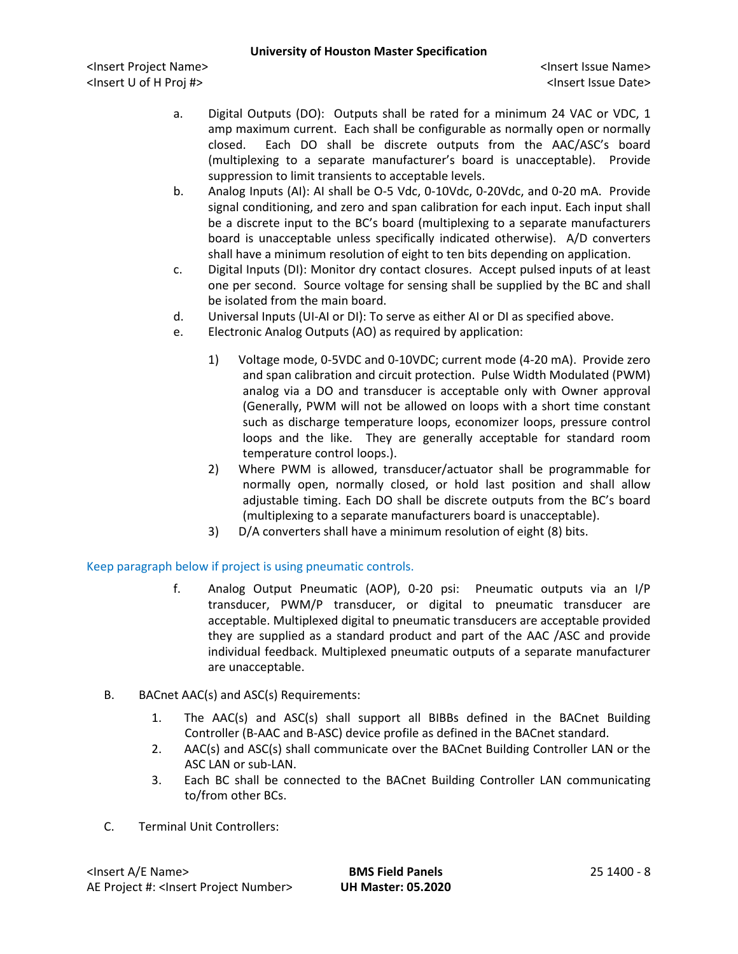<Insert Project Name> <Insert Issue Name> <Insert U of H Proj #> <Insert Issue Date>

- a. Digital Outputs (DO): Outputs shall be rated for a minimum 24 VAC or VDC, 1 amp maximum current. Each shall be configurable as normally open or normally closed. Each DO shall be discrete outputs from the AAC/ASC's board (multiplexing to a separate manufacturer's board is unacceptable). Provide suppression to limit transients to acceptable levels.
- b. Analog Inputs (AI): AI shall be O-5 Vdc, 0-10Vdc, 0-20Vdc, and 0-20 mA. Provide signal conditioning, and zero and span calibration for each input. Each input shall be a discrete input to the BC's board (multiplexing to a separate manufacturers board is unacceptable unless specifically indicated otherwise). A/D converters shall have a minimum resolution of eight to ten bits depending on application.
- c. Digital Inputs (DI): Monitor dry contact closures. Accept pulsed inputs of at least one per second. Source voltage for sensing shall be supplied by the BC and shall be isolated from the main board.
- d. Universal Inputs (UI-AI or DI): To serve as either AI or DI as specified above.
- e. Electronic Analog Outputs (AO) as required by application:
	- 1) Voltage mode, 0-5VDC and 0-10VDC; current mode (4-20 mA). Provide zero and span calibration and circuit protection. Pulse Width Modulated (PWM) analog via a DO and transducer is acceptable only with Owner approval (Generally, PWM will not be allowed on loops with a short time constant such as discharge temperature loops, economizer loops, pressure control loops and the like. They are generally acceptable for standard room temperature control loops.).
	- 2) Where PWM is allowed, transducer/actuator shall be programmable for normally open, normally closed, or hold last position and shall allow adjustable timing. Each DO shall be discrete outputs from the BC's board (multiplexing to a separate manufacturers board is unacceptable).
	- 3) D/A converters shall have a minimum resolution of eight (8) bits.

Keep paragraph below if project is using pneumatic controls.

- f. Analog Output Pneumatic (AOP), 0-20 psi: Pneumatic outputs via an I/P transducer, PWM/P transducer, or digital to pneumatic transducer are acceptable. Multiplexed digital to pneumatic transducers are acceptable provided they are supplied as a standard product and part of the AAC /ASC and provide individual feedback. Multiplexed pneumatic outputs of a separate manufacturer are unacceptable.
- B. BACnet AAC(s) and ASC(s) Requirements:
	- 1. The AAC(s) and ASC(s) shall support all BIBBs defined in the BACnet Building Controller (B-AAC and B-ASC) device profile as defined in the BACnet standard.
	- 2. AAC(s) and ASC(s) shall communicate over the BACnet Building Controller LAN or the ASC LAN or sub-LAN.
	- 3. Each BC shall be connected to the BACnet Building Controller LAN communicating to/from other BCs.
- C. Terminal Unit Controllers: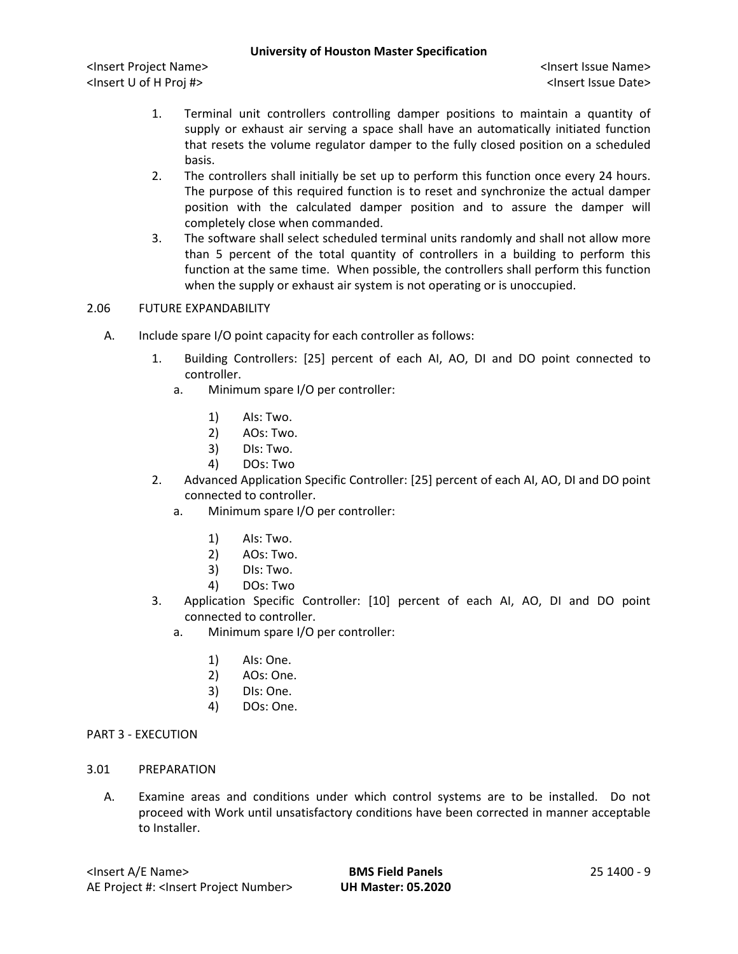<Insert Project Name> <Insert Issue Name> <Insert U of H Proj #> <Insert Issue Date>

- 1. Terminal unit controllers controlling damper positions to maintain a quantity of supply or exhaust air serving a space shall have an automatically initiated function that resets the volume regulator damper to the fully closed position on a scheduled basis.
- 2. The controllers shall initially be set up to perform this function once every 24 hours. The purpose of this required function is to reset and synchronize the actual damper position with the calculated damper position and to assure the damper will completely close when commanded.
- 3. The software shall select scheduled terminal units randomly and shall not allow more than 5 percent of the total quantity of controllers in a building to perform this function at the same time. When possible, the controllers shall perform this function when the supply or exhaust air system is not operating or is unoccupied.

## 2.06 FUTURE EXPANDABILITY

- A. Include spare I/O point capacity for each controller as follows:
	- 1. Building Controllers: [25] percent of each AI, AO, DI and DO point connected to controller.
		- a. Minimum spare I/O per controller:
			- 1) AIs: Two.
			- 2) AOs: Two.
			- 3) DIs: Two.
			- 4) DOs: Two
	- 2. Advanced Application Specific Controller: [25] percent of each AI, AO, DI and DO point connected to controller.
		- a. Minimum spare I/O per controller:
			- 1) AIs: Two.
			- 2) AOs: Two.
			- 3) DIs: Two.
			- 4) DOs: Two
	- 3. Application Specific Controller: [10] percent of each AI, AO, DI and DO point connected to controller.
		- a. Minimum spare I/O per controller:
			- 1) AIs: One.
			- 2) AOs: One.
			- 3) DIs: One.
			- 4) DOs: One.

#### PART 3 - EXECUTION

- 3.01 PREPARATION
	- A. Examine areas and conditions under which control systems are to be installed. Do not proceed with Work until unsatisfactory conditions have been corrected in manner acceptable to Installer.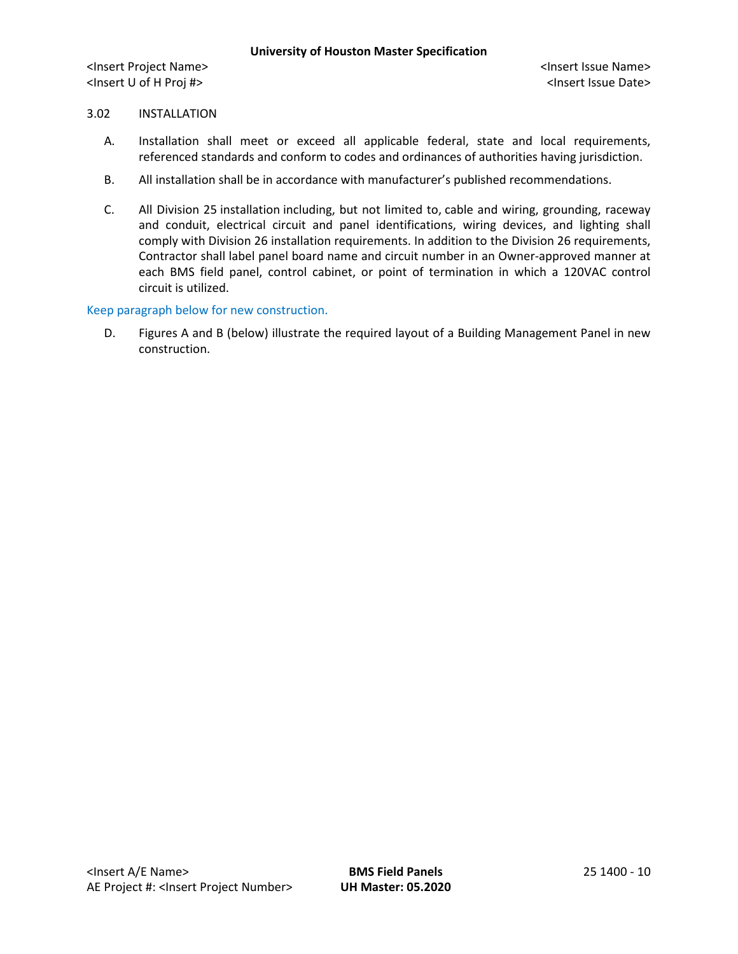# 3.02 INSTALLATION

- A. Installation shall meet or exceed all applicable federal, state and local requirements, referenced standards and conform to codes and ordinances of authorities having jurisdiction.
- B. All installation shall be in accordance with manufacturer's published recommendations.
- C. All Division 25 installation including, but not limited to, cable and wiring, grounding, raceway and conduit, electrical circuit and panel identifications, wiring devices, and lighting shall comply with Division 26 installation requirements. In addition to the Division 26 requirements, Contractor shall label panel board name and circuit number in an Owner-approved manner at each BMS field panel, control cabinet, or point of termination in which a 120VAC control circuit is utilized.

#### Keep paragraph below for new construction.

D. Figures A and B (below) illustrate the required layout of a Building Management Panel in new construction.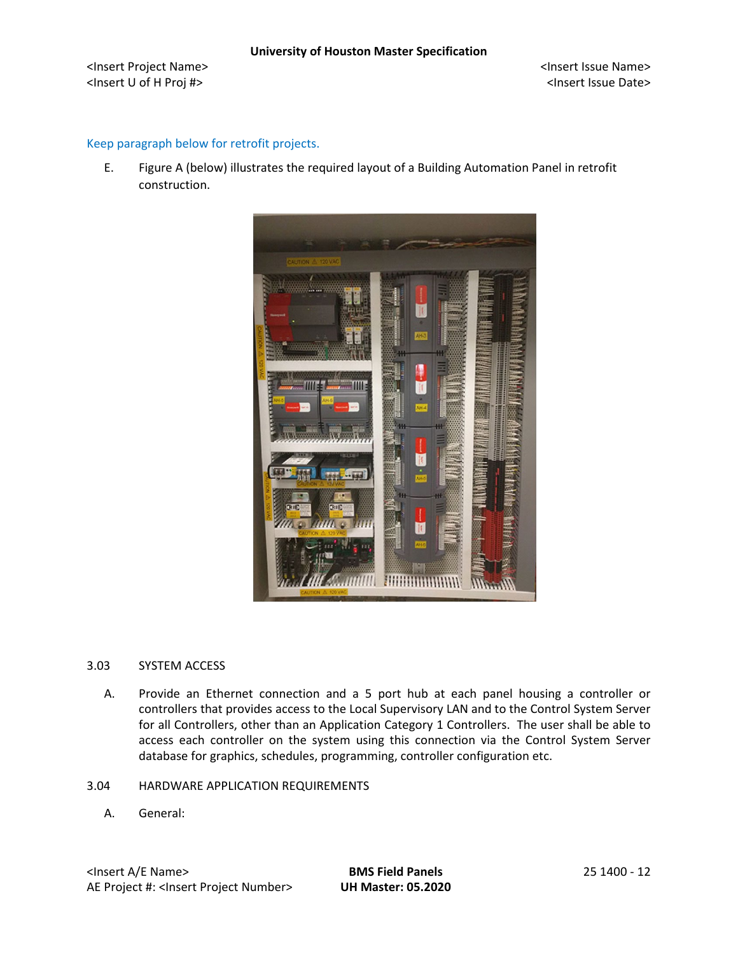## Keep paragraph below for retrofit projects.

E. Figure A (below) illustrates the required layout of a Building Automation Panel in retrofit construction.



#### 3.03 SYSTEM ACCESS

- A. Provide an Ethernet connection and a 5 port hub at each panel housing a controller or controllers that provides access to the Local Supervisory LAN and to the Control System Server for all Controllers, other than an Application Category 1 Controllers. The user shall be able to access each controller on the system using this connection via the Control System Server database for graphics, schedules, programming, controller configuration etc.
- 3.04 HARDWARE APPLICATION REQUIREMENTS
	- A. General: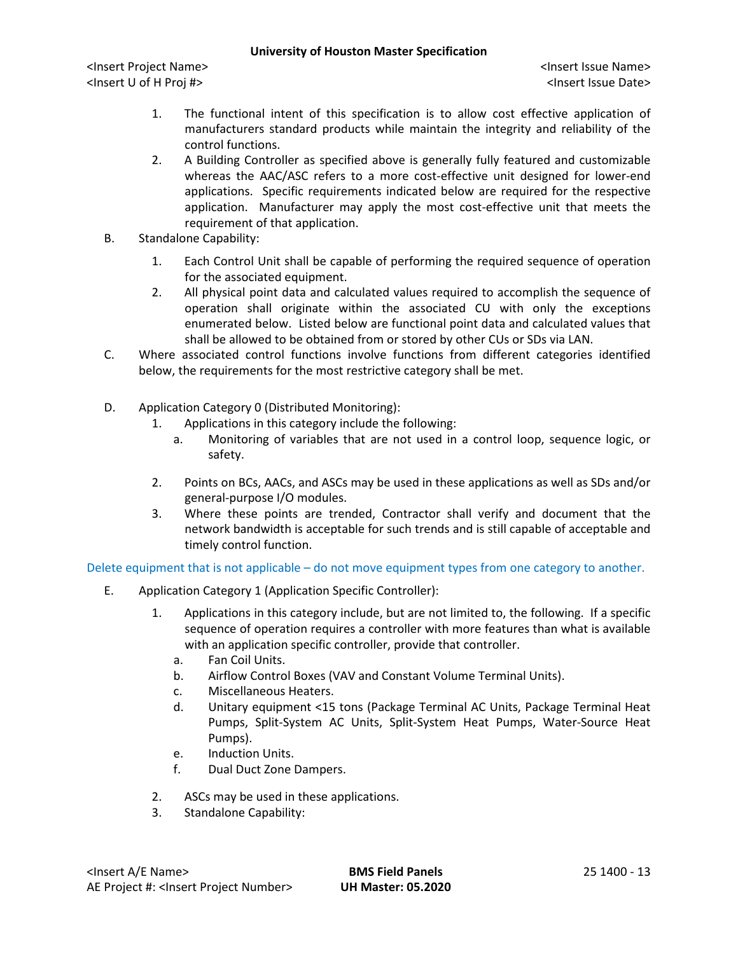<Insert Project Name> <Insert Issue Name> <Insert U of H Proj #> <Insert Issue Date>

- 1. The functional intent of this specification is to allow cost effective application of manufacturers standard products while maintain the integrity and reliability of the control functions.
- 2. A Building Controller as specified above is generally fully featured and customizable whereas the AAC/ASC refers to a more cost-effective unit designed for lower-end applications. Specific requirements indicated below are required for the respective application. Manufacturer may apply the most cost-effective unit that meets the requirement of that application.
- B. Standalone Capability:
	- 1. Each Control Unit shall be capable of performing the required sequence of operation for the associated equipment.
	- 2. All physical point data and calculated values required to accomplish the sequence of operation shall originate within the associated CU with only the exceptions enumerated below. Listed below are functional point data and calculated values that shall be allowed to be obtained from or stored by other CUs or SDs via LAN.
- C. Where associated control functions involve functions from different categories identified below, the requirements for the most restrictive category shall be met.
- D. Application Category 0 (Distributed Monitoring):
	- 1. Applications in this category include the following:
		- a. Monitoring of variables that are not used in a control loop, sequence logic, or safety.
	- 2. Points on BCs, AACs, and ASCs may be used in these applications as well as SDs and/or general-purpose I/O modules.
	- 3. Where these points are trended, Contractor shall verify and document that the network bandwidth is acceptable for such trends and is still capable of acceptable and timely control function.

Delete equipment that is not applicable – do not move equipment types from one category to another.

- E. Application Category 1 (Application Specific Controller):
	- 1. Applications in this category include, but are not limited to, the following. If a specific sequence of operation requires a controller with more features than what is available with an application specific controller, provide that controller.
		- a. Fan Coil Units.
		- b. Airflow Control Boxes (VAV and Constant Volume Terminal Units).
		- c. Miscellaneous Heaters.
		- d. Unitary equipment <15 tons (Package Terminal AC Units, Package Terminal Heat Pumps, Split-System AC Units, Split-System Heat Pumps, Water-Source Heat Pumps).
		- e. Induction Units.
		- f. Dual Duct Zone Dampers.
	- 2. ASCs may be used in these applications.
	- 3. Standalone Capability: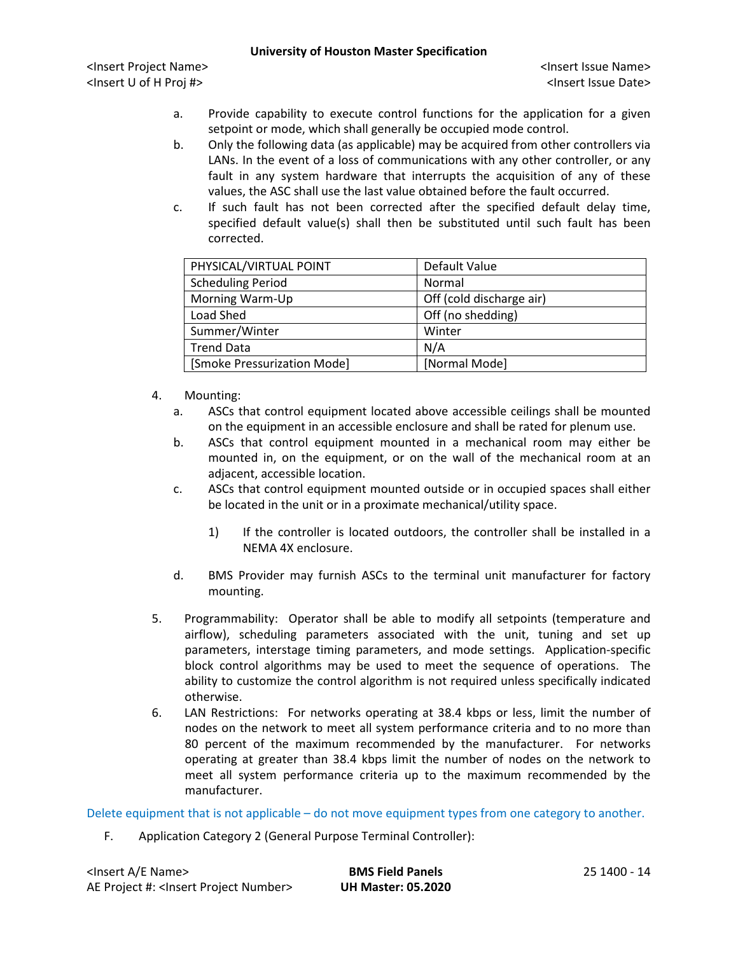<Insert Project Name> <Insert Issue Name> <Insert U of H Proj #> <Insert Issue Date>

- a. Provide capability to execute control functions for the application for a given setpoint or mode, which shall generally be occupied mode control.
- b. Only the following data (as applicable) may be acquired from other controllers via LANs. In the event of a loss of communications with any other controller, or any fault in any system hardware that interrupts the acquisition of any of these values, the ASC shall use the last value obtained before the fault occurred.
- c. If such fault has not been corrected after the specified default delay time, specified default value(s) shall then be substituted until such fault has been corrected.

| PHYSICAL/VIRTUAL POINT      | Default Value            |
|-----------------------------|--------------------------|
| <b>Scheduling Period</b>    | Normal                   |
| Morning Warm-Up             | Off (cold discharge air) |
| Load Shed                   | Off (no shedding)        |
| Summer/Winter               | Winter                   |
| <b>Trend Data</b>           | N/A                      |
| [Smoke Pressurization Mode] | [Normal Mode]            |

- 4. Mounting:
	- a. ASCs that control equipment located above accessible ceilings shall be mounted on the equipment in an accessible enclosure and shall be rated for plenum use.
	- b. ASCs that control equipment mounted in a mechanical room may either be mounted in, on the equipment, or on the wall of the mechanical room at an adjacent, accessible location.
	- c. ASCs that control equipment mounted outside or in occupied spaces shall either be located in the unit or in a proximate mechanical/utility space.
		- 1) If the controller is located outdoors, the controller shall be installed in a NEMA 4X enclosure.
	- d. BMS Provider may furnish ASCs to the terminal unit manufacturer for factory mounting.
- 5. Programmability: Operator shall be able to modify all setpoints (temperature and airflow), scheduling parameters associated with the unit, tuning and set up parameters, interstage timing parameters, and mode settings. Application-specific block control algorithms may be used to meet the sequence of operations. The ability to customize the control algorithm is not required unless specifically indicated otherwise.
- 6. LAN Restrictions: For networks operating at 38.4 kbps or less, limit the number of nodes on the network to meet all system performance criteria and to no more than 80 percent of the maximum recommended by the manufacturer. For networks operating at greater than 38.4 kbps limit the number of nodes on the network to meet all system performance criteria up to the maximum recommended by the manufacturer.

Delete equipment that is not applicable – do not move equipment types from one category to another.

F. Application Category 2 (General Purpose Terminal Controller):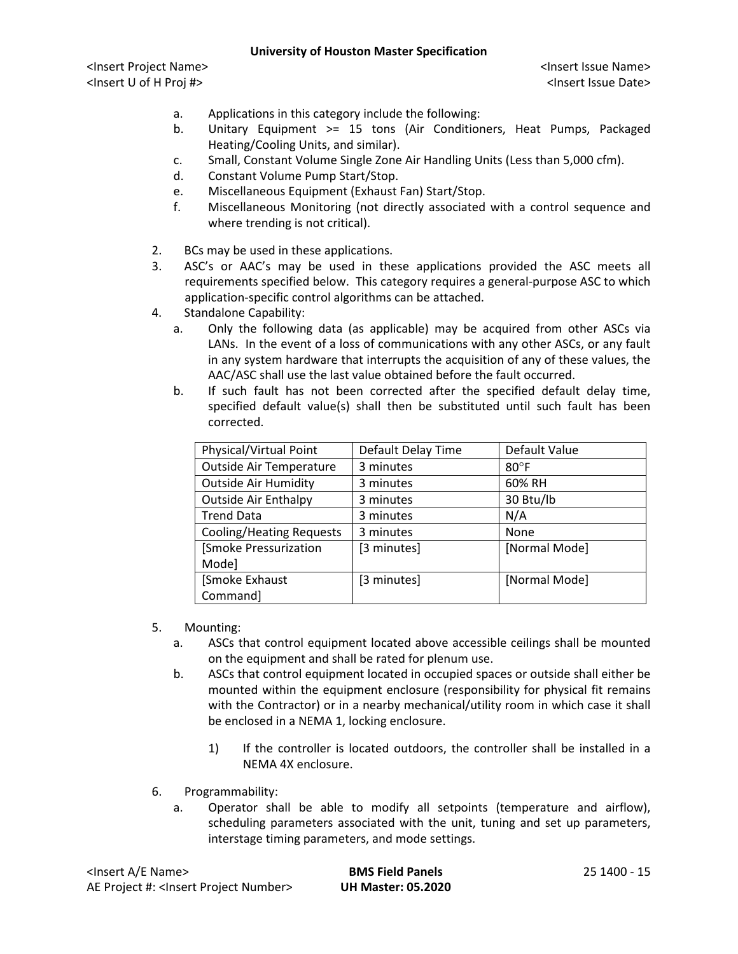- a. Applications in this category include the following:
- b. Unitary Equipment >= 15 tons (Air Conditioners, Heat Pumps, Packaged Heating/Cooling Units, and similar).
- c. Small, Constant Volume Single Zone Air Handling Units (Less than 5,000 cfm).
- d. Constant Volume Pump Start/Stop.
- e. Miscellaneous Equipment (Exhaust Fan) Start/Stop.
- f. Miscellaneous Monitoring (not directly associated with a control sequence and where trending is not critical).
- 2. BCs may be used in these applications.
- 3. ASC's or AAC's may be used in these applications provided the ASC meets all requirements specified below. This category requires a general-purpose ASC to which application-specific control algorithms can be attached.
- 4. Standalone Capability:
	- a. Only the following data (as applicable) may be acquired from other ASCs via LANs. In the event of a loss of communications with any other ASCs, or any fault in any system hardware that interrupts the acquisition of any of these values, the AAC/ASC shall use the last value obtained before the fault occurred.
	- b. If such fault has not been corrected after the specified default delay time, specified default value(s) shall then be substituted until such fault has been corrected.

| Physical/Virtual Point          | Default Delay Time | Default Value  |
|---------------------------------|--------------------|----------------|
| <b>Outside Air Temperature</b>  | 3 minutes          | $80^{\circ}$ F |
| <b>Outside Air Humidity</b>     | 3 minutes          | 60% RH         |
| <b>Outside Air Enthalpy</b>     | 3 minutes          | 30 Btu/lb      |
| <b>Trend Data</b>               | 3 minutes          | N/A            |
| <b>Cooling/Heating Requests</b> | 3 minutes          | <b>None</b>    |
| [Smoke Pressurization           | [3 minutes]        | [Normal Mode]  |
| Mode]                           |                    |                |
| [Smoke Exhaust                  | [3 minutes]        | [Normal Mode]  |
| Command]                        |                    |                |

- 5. Mounting:
	- a. ASCs that control equipment located above accessible ceilings shall be mounted on the equipment and shall be rated for plenum use.
	- b. ASCs that control equipment located in occupied spaces or outside shall either be mounted within the equipment enclosure (responsibility for physical fit remains with the Contractor) or in a nearby mechanical/utility room in which case it shall be enclosed in a NEMA 1, locking enclosure.
		- 1) If the controller is located outdoors, the controller shall be installed in a NEMA 4X enclosure.
- 6. Programmability:
	- a. Operator shall be able to modify all setpoints (temperature and airflow), scheduling parameters associated with the unit, tuning and set up parameters, interstage timing parameters, and mode settings.